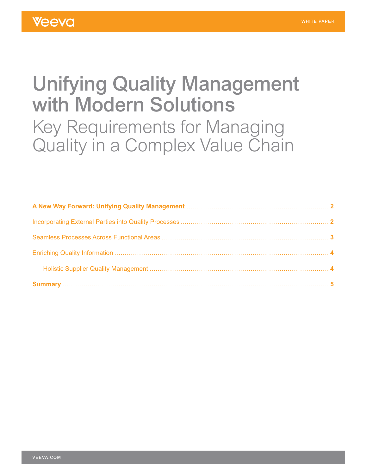# Unifying Quality Management with Modern Solutions Key Requirements for Managing Quality in a Complex Value Chain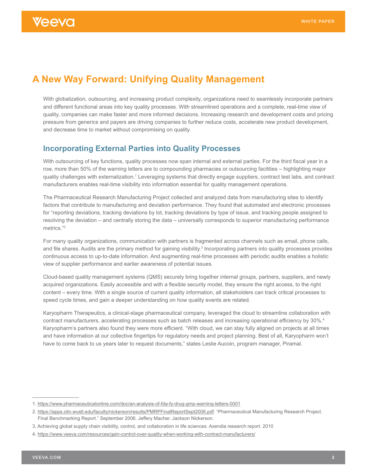## <span id="page-1-0"></span>**A New Way Forward: Unifying Quality Management**

With globalization, outsourcing, and increasing product complexity, organizations need to seamlessly incorporate partners and different functional areas into key quality processes. With streamlined operations and a complete, real-time view of quality, companies can make faster and more informed decisions. Increasing research and development costs and pricing pressure from generics and payers are driving companies to further reduce costs, accelerate new product development, and decrease time to market without compromising on quality.

## **Incorporating External Parties into Quality Processes**

With outsourcing of key functions, quality processes now span internal and external parties. For the third fiscal year in a row, more than 50% of the warning letters are to compounding pharmacies or outsourcing facilities – highlighting major quality challenges with externalization.<sup>1</sup> Leveraging systems that directly engage suppliers, contract test labs, and contract manufacturers enables real-time visibility into information essential for quality management operations.

The Pharmaceutical Research Manufacturing Project collected and analyzed data from manufacturing sites to identify factors that contribute to manufacturing and deviation performance. They found that automated and electronic processes for "reporting deviations, tracking deviations by lot, tracking deviations by type of issue, and tracking people assigned to resolving the deviation – and centrally storing the data – universally corresponds to superior manufacturing performance metrics."2

For many quality organizations, communication with partners is fragmented across channels such as email, phone calls, and file shares. Audits are the primary method for gaining visibility.<sup>3</sup> Incorporating partners into quality processes provides continuous access to up-to-date information. And augmenting real-time processes with periodic audits enables a holistic view of supplier performance and earlier awareness of potential issues.

Cloud-based quality management systems (QMS) securely bring together internal groups, partners, suppliers, and newly acquired organizations. Easily accessible and with a flexible security model, they ensure the right access, to the right content – every time. With a single source of current quality information, all stakeholders can track critical processes to speed cycle times, and gain a deeper understanding on how quality events are related.

Karyopharm Therapeutics, a clinical-stage pharmaceutical company, leveraged the cloud to streamline collaboration with contract manufacturers, accelerating processes such as batch releases and increasing operational efficiency by 30%.4 Karyopharm's partners also found they were more efficient. "With cloud, we can stay fully aligned on projects at all times and have information at our collective fingertips for regulatory needs and project planning. Best of all, Karyopharm won't have to come back to us years later to request documents," states Leslie Aucoin, program manager, Piramal.

<sup>1.</sup> <https://www.pharmaceuticalonline.com/doc/an-analysis-of-fda-fy-drug-gmp-warning-letters-0001>

<sup>2.</sup> [https://apps.olin.wustl.edu/faculty/nickerson/results/PMRPFinalReportSept2006.pdf.](https://apps.olin.wustl.edu/faculty/nickerson/results/PMRPFinalReportSept2006.pdf) "Pharmaceutical Manufacturing Research Project. Final Benchmarking Report." September 2006. Jeffery Macher. Jackson Nickerson.

<sup>3.</sup> Achieving global supply chain visibility, control, and collaboration in life sciences. Axendia research report. 2010

<sup>4.</sup> <https://www.veeva.com/resources/gain-control-over-quality-when-working-with-contract-manufacturers/>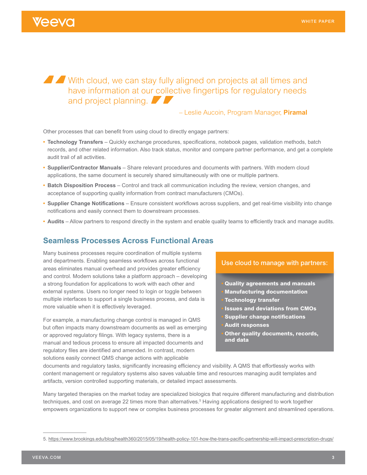# <span id="page-2-0"></span>Veeva

With cloud, we can stay fully aligned on projects at all times and have information at our collective fingertips for regulatory needs and project planning.

### – Leslie Aucoin, Program Manager, **Piramal**

Other processes that can benefit from using cloud to directly engage partners:

- **• Technology Transfers** Quickly exchange procedures, specifications, notebook pages, validation methods, batch records, and other related information. Also track status, monitor and compare partner performance, and get a complete audit trail of all activities.
- **• Supplier/Contractor Manuals** Share relevant procedures and documents with partners. With modern cloud applications, the same document is securely shared simultaneously with one or multiple partners.
- **• Batch Disposition Process** Control and track all communication including the review, version changes, and acceptance of supporting quality information from contract manufacturers (CMOs).
- **• Supplier Change Notifications** Ensure consistent workflows across suppliers, and get real-time visibility into change notifications and easily connect them to downstream processes.
- **• Audits** Allow partners to respond directly in the system and enable quality teams to efficiently track and manage audits.

### **Seamless Processes Across Functional Areas**

Many business processes require coordination of multiple systems and departments. Enabling seamless workflows across functional areas eliminates manual overhead and provides greater efficiency and control. Modern solutions take a platform approach – developing a strong foundation for applications to work with each other and external systems. Users no longer need to login or toggle between multiple interfaces to support a single business process, and data is more valuable when it is effectively leveraged.

For example, a manufacturing change control is managed in QMS but often impacts many downstream documents as well as emerging or approved regulatory filings. With legacy systems, there is a manual and tedious process to ensure all impacted documents and regulatory files are identified and amended. In contrast, modern solutions easily connect QMS change actions with applicable

#### Use cloud to manage with partners:

- **• Quality agreements and manuals • Manufacturing documentation**
- **• Technology transfer**
- **• Issues and deviations from CMOs**
- **• Supplier change notifications**
- **• Audit responses**
- **• Other quality documents, records, and data**

documents and regulatory tasks, significantly increasing efficiency and visibility. A QMS that effortlessly works with content management or regulatory systems also saves valuable time and resources managing audit templates and artifacts, version controlled supporting materials, or detailed impact assessments.

Many targeted therapies on the market today are specialized biologics that require different manufacturing and distribution techniques, and cost on average 22 times more than alternatives.<sup>5</sup> Having applications designed to work together empowers organizations to support new or complex business processes for greater alignment and streamlined operations.

<sup>5.</sup> [https://www.brookings.edu/blog/health360/2015/05/19/health-policy-101-how-the-trans-pacific-partnership-will-impact-prescription-drugs/](https://www.brookings.edu/blog/health360/2015/05/19/health-policy-101-how-the-trans-pacific-partners)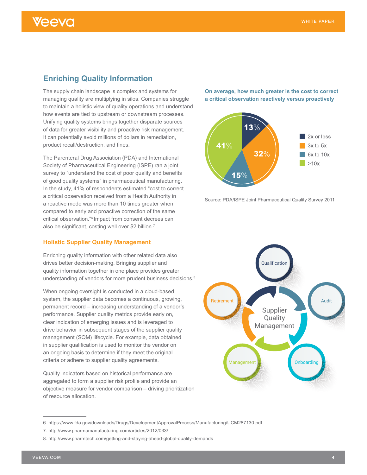## <span id="page-3-0"></span>**Enriching Quality Information**

The supply chain landscape is complex and systems for managing quality are multiplying in silos. Companies struggle to maintain a holistic view of quality operations and understand how events are tied to upstream or downstream processes. Unifying quality systems brings together disparate sources of data for greater visibility and proactive risk management. It can potentially avoid millions of dollars in remediation, product recall/destruction, and fines.

The Parenteral Drug Association (PDA) and International Society of Pharmaceutical Engineering (ISPE) ran a joint survey to "understand the cost of poor quality and benefits of good quality systems" in pharmaceutical manufacturing. In the study, 41% of respondents estimated "cost to correct a critical observation received from a Health Authority in a reactive mode was more than 10 times greater when compared to early and proactive correction of the same critical observation."6 Impact from consent decrees can also be significant, costing well over \$2 billion.7

#### **Holistic Supplier Quality Management**

Enriching quality information with other related data also drives better decision-making. Bringing supplier and quality information together in one place provides greater understanding of vendors for more prudent business decisions.<sup>8</sup>

When ongoing oversight is conducted in a cloud-based system, the supplier data becomes a continuous, growing, permanent record – increasing understanding of a vendor's performance. Supplier quality metrics provide early on, clear indication of emerging issues and is leveraged to drive behavior in subsequent stages of the supplier quality management (SQM) lifecycle. For example, data obtained in supplier qualification is used to monitor the vendor on an ongoing basis to determine if they meet the original criteria or adhere to supplier quality agreements.

Quality indicators based on historical performance are aggregated to form a supplier risk profile and provide an objective measure for vendor comparison – driving prioritization of resource allocation.

**On average, how much greater is the cost to correct a critical observation reactively versus proactively**



Source: PDA/ISPE Joint Pharmaceutical Quality Survey 2011



<sup>6.</sup> <https://www.fda.gov/downloads/Drugs/DevelopmentApprovalProcess/Manufacturing/UCM287130.pdf>

<sup>7.</sup> <http://www.pharmamanufacturing.com/articles/2012/033/>

<sup>8.</sup> <http://www.pharmtech.com/getting-and-staying-ahead-global-quality-demands>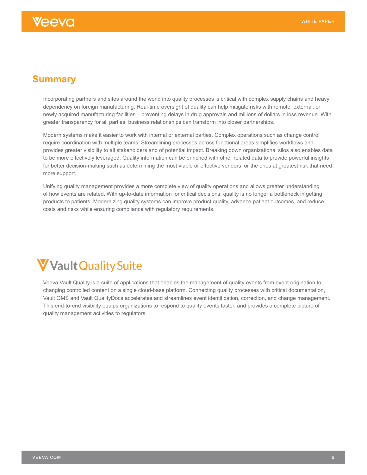## <span id="page-4-0"></span>**Summary**

Incorporating partners and sites around the world into quality processes is critical with complex supply chains and heavy dependency on foreign manufacturing. Real-time oversight of quality can help mitigate risks with remote, external, or newly acquired manufacturing facilities – preventing delays in drug approvals and millions of dollars in loss revenue. With greater transparency for all parties, business relationships can transform into closer partnerships.

Modern systems make it easier to work with internal or external parties. Complex operations such as change control require coordination with multiple teams. Streamlining processes across functional areas simplifies workflows and provides greater visibility to all stakeholders and of potential impact. Breaking down organizational silos also enables data to be more effectively leveraged. Quality information can be enriched with other related data to provide powerful insights for better decision-making such as determining the most viable or effective vendors, or the ones at greatest risk that need more support.

Unifying quality management provides a more complete view of quality operations and allows greater understanding of how events are related. With up-to-date information for critical decisions, quality is no longer a bottleneck in getting products to patients. Modernizing quality systems can improve product quality, advance patient outcomes, and reduce costs and risks while ensuring compliance with regulatory requirements.



Veeva Vault Quality is a suite of applications that enables the management of quality events from event origination to changing controlled content on a single cloud-base platform. Connecting quality processes with critical documentation, Vault QMS and Vault QualityDocs accelerates and streamlines event identification, correction, and change management. This end-to-end visibility equips organizations to respond to quality events faster, and provides a complete picture of quality management activities to regulators.